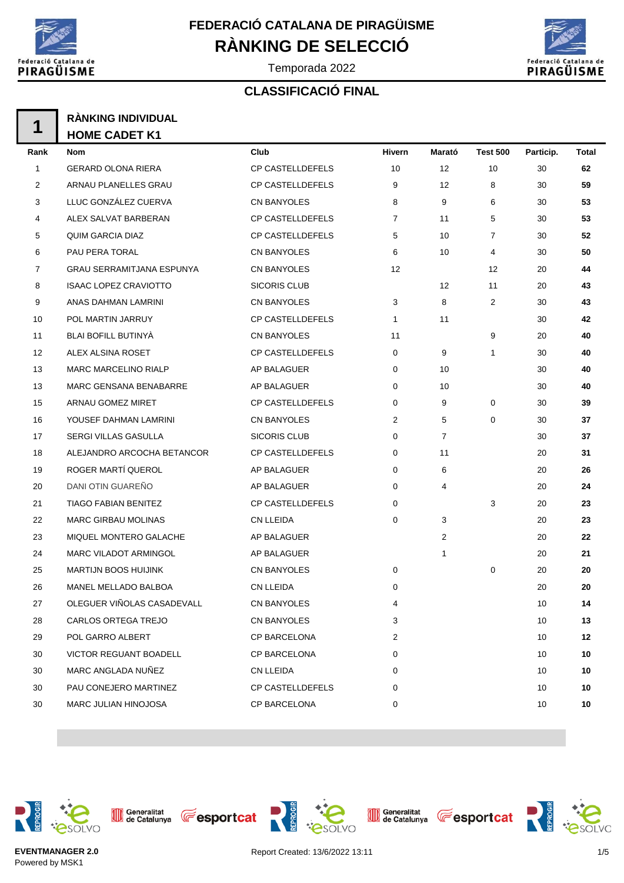

Temporada 2022

# Federació Catalana de<br>PIRAGÜISME

### **CLASSIFICACIÓ FINAL**

| 4 | <b>RÀNKING INDIVIDUAL</b> |
|---|---------------------------|
|   | <b>HOME CADET K1</b>      |

| Rank           | Nom                              | Club                    | Hivern         | Marató         | <b>Test 500</b> | Particip. | Total |
|----------------|----------------------------------|-------------------------|----------------|----------------|-----------------|-----------|-------|
| $\mathbf{1}$   | <b>GERARD OLONA RIERA</b>        | CP CASTELLDEFELS        | 10             | 12             | 10              | 30        | 62    |
| 2              | ARNAU PLANELLES GRAU             | <b>CP CASTELLDEFELS</b> | 9              | 12             | 8               | 30        | 59    |
| 3              | LLUC GONZÁLEZ CUERVA             | CN BANYOLES             | 8              | 9              | 6               | 30        | 53    |
| 4              | ALEX SALVAT BARBERAN             | CP CASTELLDEFELS        | $\overline{7}$ | 11             | 5               | 30        | 53    |
| 5              | <b>QUIM GARCIA DIAZ</b>          | <b>CP CASTELLDEFELS</b> | 5              | 10             | $\overline{7}$  | 30        | 52    |
| 6              | PAU PERA TORAL                   | CN BANYOLES             | 6              | 10             | 4               | 30        | 50    |
| $\overline{7}$ | <b>GRAU SERRAMITJANA ESPUNYA</b> | CN BANYOLES             | 12             |                | 12              | 20        | 44    |
| 8              | <b>ISAAC LOPEZ CRAVIOTTO</b>     | <b>SICORIS CLUB</b>     |                | 12             | 11              | 20        | 43    |
| 9              | ANAS DAHMAN LAMRINI              | CN BANYOLES             | 3              | 8              | $\overline{2}$  | 30        | 43    |
| 10             | POL MARTIN JARRUY                | <b>CP CASTELLDEFELS</b> | 1              | 11             |                 | 30        | 42    |
| 11             | <b>BLAI BOFILL BUTINYA</b>       | CN BANYOLES             | 11             |                | 9               | 20        | 40    |
| 12             | ALEX ALSINA ROSET                | <b>CP CASTELLDEFELS</b> | 0              | 9              | 1               | 30        | 40    |
| 13             | <b>MARC MARCELINO RIALP</b>      | AP BALAGUER             | 0              | 10             |                 | 30        | 40    |
| 13             | MARC GENSANA BENABARRE           | AP BALAGUER             | 0              | 10             |                 | 30        | 40    |
| 15             | <b>ARNAU GOMEZ MIRET</b>         | <b>CP CASTELLDEFELS</b> | 0              | 9              | 0               | 30        | 39    |
| 16             | YOUSEF DAHMAN LAMRINI            | CN BANYOLES             | 2              | 5              | 0               | 30        | 37    |
| 17             | <b>SERGI VILLAS GASULLA</b>      | <b>SICORIS CLUB</b>     | 0              | $\overline{7}$ |                 | 30        | 37    |
| 18             | ALEJANDRO ARCOCHA BETANCOR       | <b>CP CASTELLDEFELS</b> | 0              | 11             |                 | 20        | 31    |
| 19             | ROGER MARTÍ QUEROL               | AP BALAGUER             | 0              | 6              |                 | 20        | 26    |
| 20             | DANI OTIN GUAREÑO                | AP BALAGUER             | 0              | 4              |                 | 20        | 24    |
| 21             | <b>TIAGO FABIAN BENITEZ</b>      | <b>CP CASTELLDEFELS</b> | 0              |                | 3               | 20        | 23    |
| 22             | <b>MARC GIRBAU MOLINAS</b>       | <b>CN LLEIDA</b>        | 0              | 3              |                 | 20        | 23    |
| 23             | MIQUEL MONTERO GALACHE           | AP BALAGUER             |                | $\overline{2}$ |                 | 20        | 22    |
| 24             | <b>MARC VILADOT ARMINGOL</b>     | AP BALAGUER             |                | 1              |                 | 20        | 21    |
| 25             | <b>MARTIJN BOOS HUIJINK</b>      | CN BANYOLES             | 0              |                | 0               | 20        | 20    |
| 26             | MANEL MELLADO BALBOA             | <b>CN LLEIDA</b>        | 0              |                |                 | 20        | 20    |
| 27             | OLEGUER VIÑOLAS CASADEVALL       | CN BANYOLES             | 4              |                |                 | 10        | 14    |
| 28             | CARLOS ORTEGA TREJO              | CN BANYOLES             | 3              |                |                 | 10        | 13    |
| 29             | POL GARRO ALBERT                 | CP BARCELONA            | $\overline{2}$ |                |                 | 10        | 12    |
| 30             | <b>VICTOR REGUANT BOADELL</b>    | CP BARCELONA            | 0              |                |                 | 10        | 10    |
| 30             | MARC ANGLADA NUÑEZ               | <b>CN LLEIDA</b>        | 0              |                |                 | 10        | 10    |
| 30             | PAU CONEJERO MARTINEZ            | CP CASTELLDEFELS        | 0              |                |                 | 10        | 10    |
| 30             | MARC JULIAN HINOJOSA             | CP BARCELONA            | 0              |                |                 | 10        | 10    |
|                |                                  |                         |                |                |                 |           |       |



Generalitat<br>de Catalunya



SOLVO



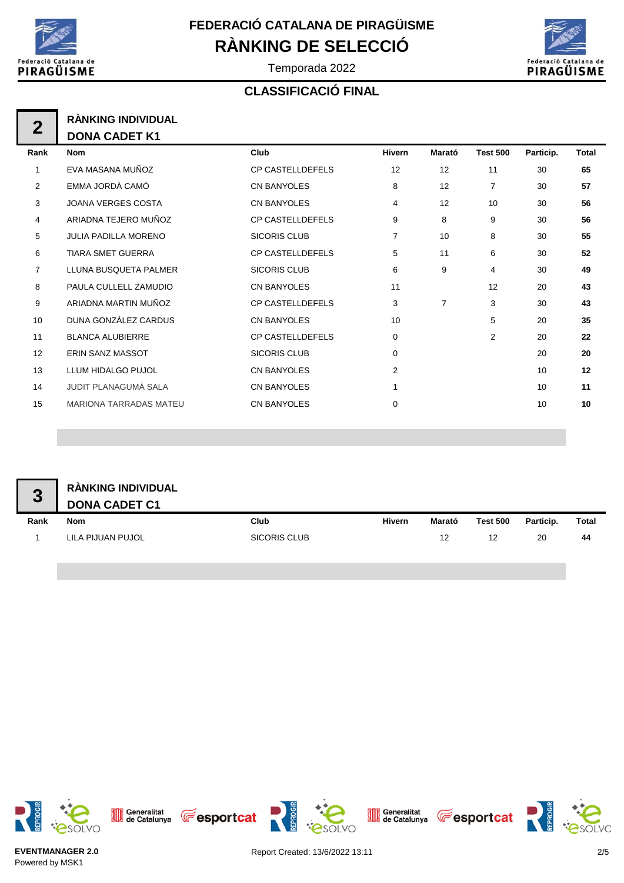



Temporada 2022

#### **CLASSIFICACIÓ FINAL**

|      | <b>RÀNKING INDIVIDUAL</b> |
|------|---------------------------|
|      | <b>DONA CADET K1</b>      |
| Rank |                           |

| Rank           | <b>Nom</b>                    | Club                    | <b>Hivern</b>  | Marató         | <b>Test 500</b> | Particip. | <b>Total</b> |
|----------------|-------------------------------|-------------------------|----------------|----------------|-----------------|-----------|--------------|
| 1              | EVA MASANA MUÑOZ              | <b>CP CASTELLDEFELS</b> | 12             | 12             | 11              | 30        | 65           |
| 2              | EMMA JORDÀ CAMÓ               | <b>CN BANYOLES</b>      | 8              | 12             | $\overline{7}$  | 30        | 57           |
| 3              | <b>JOANA VERGES COSTA</b>     | <b>CN BANYOLES</b>      | 4              | 12             | 10              | 30        | 56           |
| 4              | ARIADNA TEJERO MUÑOZ          | <b>CP CASTELLDEFELS</b> | 9              | 8              | 9               | 30        | 56           |
| 5              | <b>JULIA PADILLA MORENO</b>   | <b>SICORIS CLUB</b>     | 7              | 10             | 8               | 30        | 55           |
| 6              | <b>TIARA SMET GUERRA</b>      | <b>CP CASTELLDEFELS</b> | 5              | 11             | 6               | 30        | 52           |
| $\overline{7}$ | LLUNA BUSQUETA PALMER         | <b>SICORIS CLUB</b>     | 6              | 9              | 4               | 30        | 49           |
| 8              | PAULA CULLELL ZAMUDIO         | <b>CN BANYOLES</b>      | 11             |                | 12              | 20        | 43           |
| 9              | ARIADNA MARTIN MUÑOZ          | <b>CP CASTELLDEFELS</b> | 3              | $\overline{7}$ | 3               | 30        | 43           |
| 10             | DUNA GONZÁLEZ CARDUS          | <b>CN BANYOLES</b>      | 10             |                | 5               | 20        | 35           |
| 11             | <b>BLANCA ALUBIERRE</b>       | <b>CP CASTELLDEFELS</b> | 0              |                | $\overline{2}$  | 20        | 22           |
| 12             | <b>ERIN SANZ MASSOT</b>       | <b>SICORIS CLUB</b>     | $\mathbf 0$    |                |                 | 20        | 20           |
| 13             | <b>LLUM HIDALGO PUJOL</b>     | <b>CN BANYOLES</b>      | $\overline{2}$ |                |                 | 10        | 12           |
| 14             | JUDIT PLANAGUMÀ SALA          | <b>CN BANYOLES</b>      | 1              |                |                 | 10        | 11           |
| 15             | <b>MARIONA TARRADAS MATEU</b> | <b>CN BANYOLES</b>      | 0              |                |                 | 10        | 10           |
|                |                               |                         |                |                |                 |           |              |

| 3    | RÀNKING INDIVIDUAL<br><b>DONA CADET C1</b> |              |        |        |                 |           |              |
|------|--------------------------------------------|--------------|--------|--------|-----------------|-----------|--------------|
| Rank | <b>Nom</b>                                 | Club         | Hivern | Marató | <b>Test 500</b> | Particip. | <b>Total</b> |
|      | LILA PIJUAN PUJOL                          | SICORIS CLUB |        | 12     | 12              | 20        | 44           |
|      |                                            |              |        |        |                 |           |              |









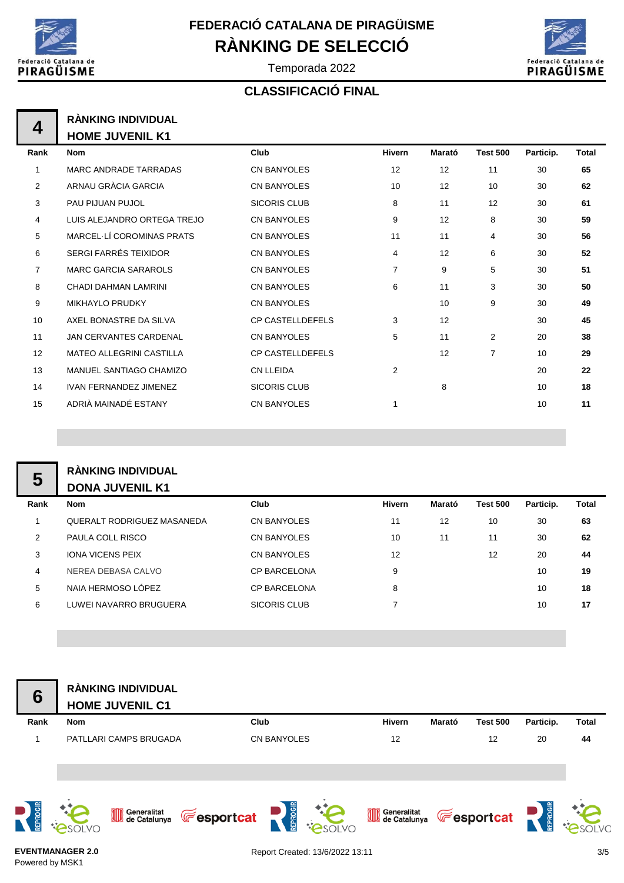

Temporada 2022



#### **CLASSIFICACIÓ FINAL**

| RÀNKING INDIVIDUAL     |
|------------------------|
| <b>HOME JUVENIL K1</b> |

| Rank           | <b>Nom</b>                      | Club                    | <b>Hivern</b> | Marató | <b>Test 500</b> | Particip. | Total |
|----------------|---------------------------------|-------------------------|---------------|--------|-----------------|-----------|-------|
| 1              | MARC ANDRADE TARRADAS           | <b>CN BANYOLES</b>      | 12            | 12     | 11              | 30        | 65    |
| 2              | ARNAU GRÀCIA GARCIA             | <b>CN BANYOLES</b>      | 10            | 12     | 10              | 30        | 62    |
| 3              | PAU PIJUAN PUJOL                | <b>SICORIS CLUB</b>     | 8             | 11     | 12              | 30        | 61    |
| 4              | LUIS ALEJANDRO ORTEGA TREJO     | <b>CN BANYOLES</b>      | 9             | 12     | 8               | 30        | 59    |
| 5              | MARCEL-LÍ COROMINAS PRATS       | <b>CN BANYOLES</b>      | 11            | 11     | 4               | 30        | 56    |
| 6              | SERGI FARRÉS TEIXIDOR           | <b>CN BANYOLES</b>      | 4             | 12     | 6               | 30        | 52    |
| $\overline{7}$ | <b>MARC GARCIA SARAROLS</b>     | <b>CN BANYOLES</b>      | 7             | 9      | 5               | 30        | 51    |
| 8              | CHADI DAHMAN LAMRINI            | <b>CN BANYOLES</b>      | 6             | 11     | 3               | 30        | 50    |
| 9              | <b>MIKHAYLO PRUDKY</b>          | <b>CN BANYOLES</b>      |               | 10     | 9               | 30        | 49    |
| 10             | AXEL BONASTRE DA SILVA          | <b>CP CASTELLDEFELS</b> | 3             | 12     |                 | 30        | 45    |
| 11             | <b>JAN CERVANTES CARDENAL</b>   | <b>CN BANYOLES</b>      | 5             | 11     | $\overline{2}$  | 20        | 38    |
| 12             | <b>MATEO ALLEGRINI CASTILLA</b> | <b>CP CASTELLDEFELS</b> |               | 12     | $\overline{7}$  | 10        | 29    |
| 13             | MANUEL SANTIAGO CHAMIZO         | <b>CN LLEIDA</b>        | 2             |        |                 | 20        | 22    |
| 14             | <b>IVAN FERNANDEZ JIMENEZ</b>   | <b>SICORIS CLUB</b>     |               | 8      |                 | 10        | 18    |
| 15             | ADRIÀ MAINADÉ ESTANY            | <b>CN BANYOLES</b>      |               |        |                 | 10        | 11    |

#### **RÀNKING INDIVIDUAL DONA JUVENIL K1**

|      | DUNA JUVLINL INI           |                     |               |        |                 |           |              |
|------|----------------------------|---------------------|---------------|--------|-----------------|-----------|--------------|
| Rank | <b>Nom</b>                 | Club                | <b>Hivern</b> | Marató | <b>Test 500</b> | Particip. | <b>Total</b> |
|      | QUERALT RODRIGUEZ MASANEDA | <b>CN BANYOLES</b>  | 11            | 12     | 10              | 30        | 63           |
| 2    | PAULA COLL RISCO           | <b>CN BANYOLES</b>  | 10            | 11     | 11              | 30        | 62           |
| 3    | <b>IONA VICENS PEIX</b>    | CN BANYOLES         | 12            |        | 12              | 20        | 44           |
| 4    | NEREA DEBASA CALVO         | <b>CP BARCELONA</b> | 9             |        |                 | 10        | 19           |
| 5    | NAIA HERMOSO LÓPEZ         | <b>CP BARCELONA</b> | 8             |        |                 | 10        | 18           |
| 6    | LUWEI NAVARRO BRUGUERA     | SICORIS CLUB        |               |        |                 | 10        | 17           |
|      |                            |                     |               |        |                 |           |              |

| $6\phantom{1}6$ | RÀNKING INDIVIDUAL<br><b>HOME JUVENIL C1</b> |                                                     |               |                               |              |              |
|-----------------|----------------------------------------------|-----------------------------------------------------|---------------|-------------------------------|--------------|--------------|
| Rank            | <b>Nom</b>                                   | Club                                                | <b>Hivern</b> | Marató<br><b>Test 500</b>     | Particip.    | <b>Total</b> |
| 1               | PATLLARI CAMPS BRUGADA                       | <b>CN BANYOLES</b>                                  | 12            | 12                            | 20           | 44           |
| REPROGIR        | Generalitat<br>de Catalunya<br>SOLVO         | $\sum_{\text{REDE}}$<br><b>Fesportcat</b><br>PSOLVO |               | Generalitat <b>Fesportcat</b> | $\mathbf{R}$ |              |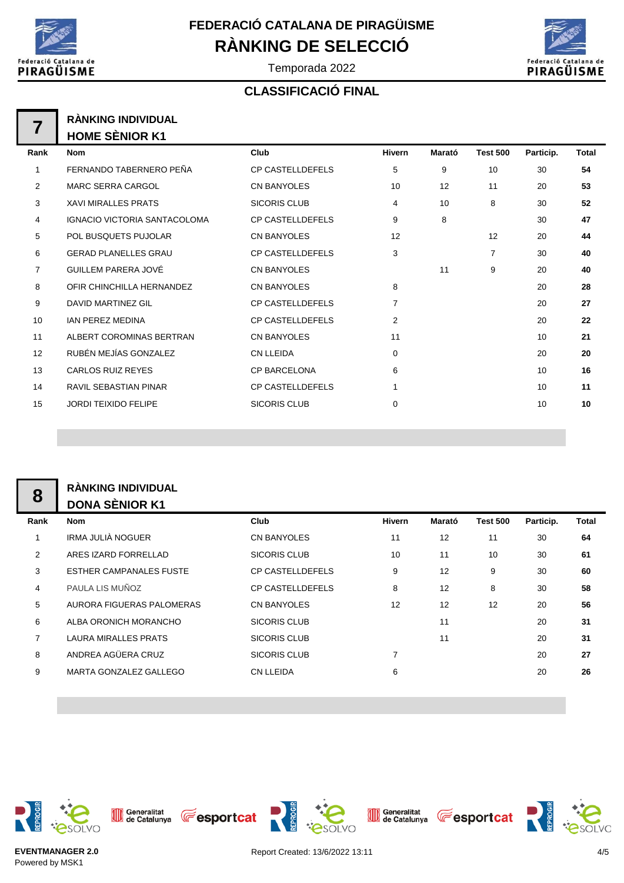



Temporada 2022

#### **CLASSIFICACIÓ FINAL**

| <b>RÀNKING INDIVIDUAL</b> |
|---------------------------|
| <b>HOME SÈNIOR K1</b>     |

| Rank           | <b>Nom</b>                          | Club                    | <b>Hivern</b>  | Marató | <b>Test 500</b> | Particip. | Total |
|----------------|-------------------------------------|-------------------------|----------------|--------|-----------------|-----------|-------|
|                | FERNANDO TABERNERO PEÑA             | <b>CP CASTELLDEFELS</b> | 5              | 9      | 10              | 30        | 54    |
| 2              | <b>MARC SERRA CARGOL</b>            | <b>CN BANYOLES</b>      | 10             | 12     | 11              | 20        | 53    |
| 3              | <b>XAVI MIRALLES PRATS</b>          | <b>SICORIS CLUB</b>     | 4              | 10     | 8               | 30        | 52    |
| 4              | <b>IGNACIO VICTORIA SANTACOLOMA</b> | <b>CP CASTELLDEFELS</b> | 9              | 8      |                 | 30        | 47    |
| 5              | POL BUSQUETS PUJOLAR                | <b>CN BANYOLES</b>      | 12             |        | 12              | 20        | 44    |
| 6              | <b>GERAD PLANELLES GRAU</b>         | <b>CP CASTELLDEFELS</b> | 3              |        | $\overline{7}$  | 30        | 40    |
| $\overline{7}$ | GUILLEM PARERA JOVÉ                 | <b>CN BANYOLES</b>      |                | 11     | 9               | 20        | 40    |
| 8              | OFIR CHINCHILLA HERNANDEZ           | <b>CN BANYOLES</b>      | 8              |        |                 | 20        | 28    |
| 9              | <b>DAVID MARTINEZ GIL</b>           | <b>CP CASTELLDEFELS</b> | $\overline{7}$ |        |                 | 20        | 27    |
| 10             | <b>IAN PEREZ MEDINA</b>             | <b>CP CASTELLDEFELS</b> | $\overline{2}$ |        |                 | 20        | 22    |
| 11             | ALBERT COROMINAS BERTRAN            | <b>CN BANYOLES</b>      | 11             |        |                 | 10        | 21    |
| 12             | RUBÉN MEJÍAS GONZALEZ               | <b>CN LLEIDA</b>        | $\mathbf 0$    |        |                 | 20        | 20    |
| 13             | <b>CARLOS RUIZ REYES</b>            | <b>CP BARCELONA</b>     | 6              |        |                 | 10        | 16    |
| 14             | <b>RAVIL SEBASTIAN PINAR</b>        | <b>CP CASTELLDEFELS</b> |                |        |                 | 10        | 11    |
| 15             | <b>JORDI TEIXIDO FELIPE</b>         | <b>SICORIS CLUB</b>     | $\mathbf 0$    |        |                 | 10        | 10    |
|                |                                     |                         |                |        |                 |           |       |

|                | <b>RÀNKING INDIVIDUAL</b>      |                         |        |        |                 |           |              |  |  |
|----------------|--------------------------------|-------------------------|--------|--------|-----------------|-----------|--------------|--|--|
| 8              | <b>DONA SÈNIOR K1</b>          |                         |        |        |                 |           |              |  |  |
| Rank           | <b>Nom</b>                     | Club                    | Hivern | Marató | <b>Test 500</b> | Particip. | <b>Total</b> |  |  |
|                | IRMA JULIÀ NOGUER              | <b>CN BANYOLES</b>      | 11     | 12     | 11              | 30        | 64           |  |  |
| 2              | ARES IZARD FORRELLAD           | <b>SICORIS CLUB</b>     | 10     | 11     | 10              | 30        | 61           |  |  |
| 3              | <b>ESTHER CAMPANALES FUSTE</b> | <b>CP CASTELLDEFELS</b> | 9      | 12     | 9               | 30        | 60           |  |  |
| 4              | PAULA LIS MUÑOZ                | <b>CP CASTELLDEFELS</b> | 8      | 12     | 8               | 30        | 58           |  |  |
| 5              | AURORA FIGUERAS PALOMERAS      | <b>CN BANYOLES</b>      | 12     | 12     | 12              | 20        | 56           |  |  |
| 6              | ALBA ORONICH MORANCHO          | <b>SICORIS CLUB</b>     |        | 11     |                 | 20        | 31           |  |  |
| $\overline{7}$ | <b>LAURA MIRALLES PRATS</b>    | SICORIS CLUB            |        | 11     |                 | 20        | 31           |  |  |
| 8              | ANDREA AGÜERA CRUZ             | <b>SICORIS CLUB</b>     |        |        |                 | 20        | 27           |  |  |
| 9              | MARTA GONZALEZ GALLEGO         | <b>CN LLEIDA</b>        | 6      |        |                 | 20        | 26           |  |  |
|                |                                |                         |        |        |                 |           |              |  |  |



Generalitat<br>de Catalunya



Generalitat **CE** esportcat





esoLvo